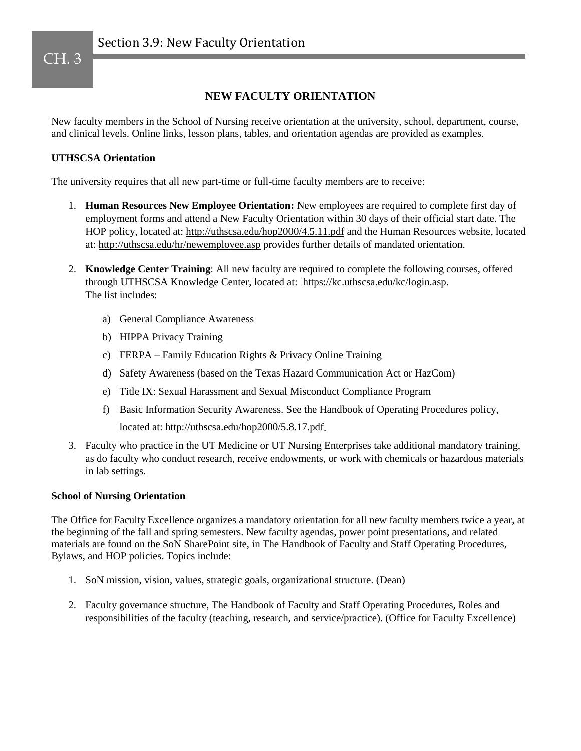# **NEW FACULTY ORIENTATION**

New faculty members in the School of Nursing receive orientation at the university, school, department, course, and clinical levels. Online links, lesson plans, tables, and orientation agendas are provided as examples.

## **UTHSCSA Orientation**

The university requires that all new part-time or full-time faculty members are to receive:

- 1. **Human Resources New Employee Orientation:** New employees are required to complete first day of employment forms and attend a New Faculty Orientation within 30 days of their official start date. The HOP policy, located at:<http://uthscsa.edu/hop2000/4.5.11.pdf> and the Human Resources website, located at[: http://uthscsa.edu/hr/newemployee.asp](http://uthscsa.edu/hr/newemployee.asp) provides further details of mandated orientation.
- 2. **Knowledge Center Training**: All new faculty are required to complete the following courses, offered through UTHSCSA Knowledge Center, located at: [https://kc.uthscsa.edu/kc/login.asp.](https://kc.uthscsa.edu/kc/login.asp) The list includes:
	- a) General Compliance Awareness
	- b) HIPPA Privacy Training
	- c) FERPA Family Education Rights & Privacy Online Training
	- d) Safety Awareness (based on the Texas Hazard Communication Act or HazCom)
	- e) Title IX: Sexual Harassment and Sexual Misconduct Compliance Program
	- f) Basic Information Security Awareness. See the Handbook of Operating Procedures policy, located at: [http://uthscsa.edu/hop2000/5.8.17.pdf.](http://uthscsa.edu/hop2000/5.8.17.pdf)
- 3. Faculty who practice in the UT Medicine or UT Nursing Enterprises take additional mandatory training, as do faculty who conduct research, receive endowments, or work with chemicals or hazardous materials in lab settings.

### **School of Nursing Orientation**

The Office for Faculty Excellence organizes a mandatory orientation for all new faculty members twice a year, at the beginning of the fall and spring semesters. New faculty agendas, power point presentations, and related materials are found on the SoN SharePoint site, in The Handbook of Faculty and Staff Operating Procedures, Bylaws, and HOP policies. Topics include:

- 1. SoN mission, vision, values, strategic goals, organizational structure. (Dean)
- 2. Faculty governance structure, The Handbook of Faculty and Staff Operating Procedures, Roles and responsibilities of the faculty (teaching, research, and service/practice). (Office for Faculty Excellence)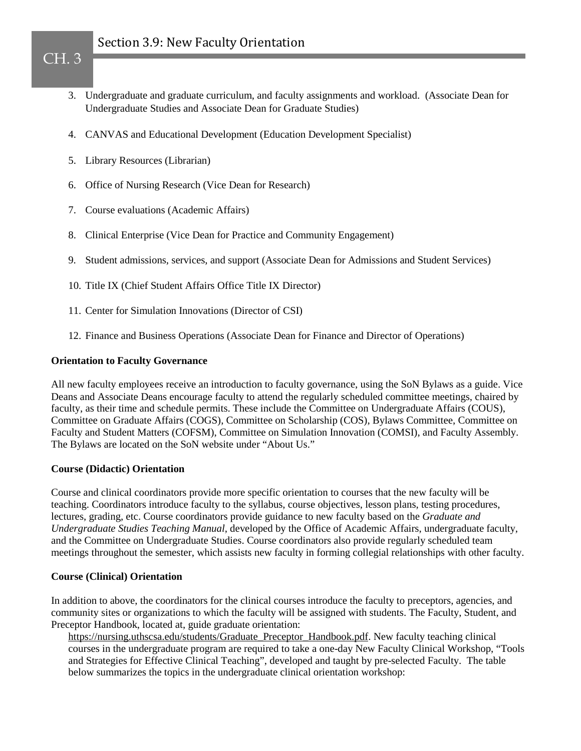- 3. Undergraduate and graduate curriculum, and faculty assignments and workload. (Associate Dean for Undergraduate Studies and Associate Dean for Graduate Studies)
- 4. CANVAS and Educational Development (Education Development Specialist)
- 5. Library Resources (Librarian)
- 6. Office of Nursing Research (Vice Dean for Research)
- 7. Course evaluations (Academic Affairs)
- 8. Clinical Enterprise (Vice Dean for Practice and Community Engagement)
- 9. Student admissions, services, and support (Associate Dean for Admissions and Student Services)
- 10. Title IX (Chief Student Affairs Office Title IX Director)
- 11. Center for Simulation Innovations (Director of CSI)
- 12. Finance and Business Operations (Associate Dean for Finance and Director of Operations)

#### **Orientation to Faculty Governance**

All new faculty employees receive an introduction to faculty governance, using the SoN Bylaws as a guide. Vice Deans and Associate Deans encourage faculty to attend the regularly scheduled committee meetings, chaired by faculty, as their time and schedule permits. These include the Committee on Undergraduate Affairs (COUS), Committee on Graduate Affairs (COGS), Committee on Scholarship (COS), Bylaws Committee, Committee on Faculty and Student Matters (COFSM), Committee on Simulation Innovation (COMSI), and Faculty Assembly. The Bylaws are located on the SoN website under "About Us."

#### **Course (Didactic) Orientation**

Course and clinical coordinators provide more specific orientation to courses that the new faculty will be teaching. Coordinators introduce faculty to the syllabus, course objectives, lesson plans, testing procedures, lectures, grading, etc. Course coordinators provide guidance to new faculty based on the *Graduate and Undergraduate Studies Teaching Manual*, developed by the Office of Academic Affairs, undergraduate faculty, and the Committee on Undergraduate Studies. Course coordinators also provide regularly scheduled team meetings throughout the semester, which assists new faculty in forming collegial relationships with other faculty.

#### **Course (Clinical) Orientation**

In addition to above, the coordinators for the clinical courses introduce the faculty to preceptors, agencies, and community sites or organizations to which the faculty will be assigned with students. The Faculty, Student, and Preceptor Handbook, located at, guide graduate orientation:

[https://nursing.uthscsa.edu/students/Graduate\\_Preceptor\\_Handbook.pdf.](https://nursing.uthscsa.edu/students/Graduate_Preceptor_Handbook.pdf) New faculty teaching clinical courses in the undergraduate program are required to take a one-day New Faculty Clinical Workshop, "Tools and Strategies for Effective Clinical Teaching", developed and taught by pre-selected Faculty. The table below summarizes the topics in the undergraduate clinical orientation workshop: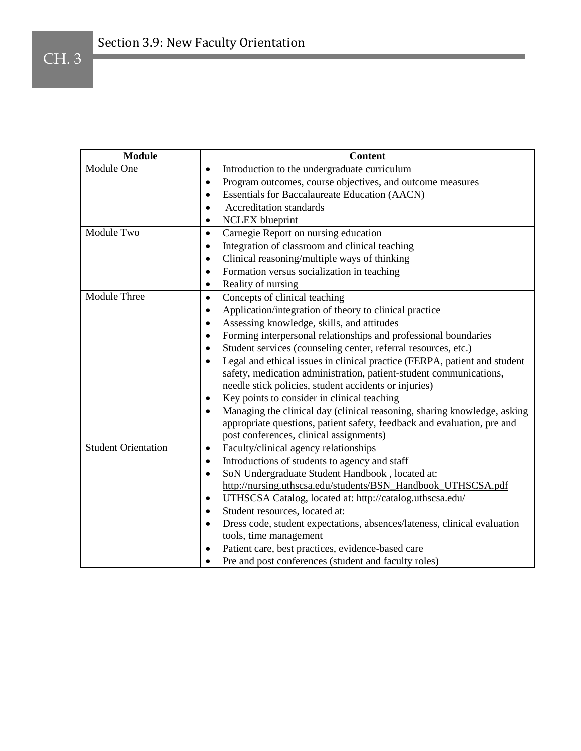| <b>Module</b>              | <b>Content</b>                                                                                                     |
|----------------------------|--------------------------------------------------------------------------------------------------------------------|
| Module One                 | Introduction to the undergraduate curriculum<br>$\bullet$                                                          |
|                            | Program outcomes, course objectives, and outcome measures<br>$\bullet$                                             |
|                            | <b>Essentials for Baccalaureate Education (AACN)</b>                                                               |
|                            | <b>Accreditation standards</b>                                                                                     |
|                            | <b>NCLEX</b> blueprint<br>$\bullet$                                                                                |
| Module Two                 | Carnegie Report on nursing education<br>$\bullet$                                                                  |
|                            | Integration of classroom and clinical teaching<br>$\bullet$                                                        |
|                            | Clinical reasoning/multiple ways of thinking<br>$\bullet$                                                          |
|                            | Formation versus socialization in teaching<br>$\bullet$                                                            |
|                            | Reality of nursing<br>٠                                                                                            |
| <b>Module Three</b>        | Concepts of clinical teaching<br>$\bullet$                                                                         |
|                            | Application/integration of theory to clinical practice<br>$\bullet$                                                |
|                            | Assessing knowledge, skills, and attitudes                                                                         |
|                            | Forming interpersonal relationships and professional boundaries<br>$\bullet$                                       |
|                            | Student services (counseling center, referral resources, etc.)<br>$\bullet$                                        |
|                            | Legal and ethical issues in clinical practice (FERPA, patient and student                                          |
|                            | safety, medication administration, patient-student communications,                                                 |
|                            | needle stick policies, student accidents or injuries)                                                              |
|                            | Key points to consider in clinical teaching<br>$\bullet$                                                           |
|                            | Managing the clinical day (clinical reasoning, sharing knowledge, asking                                           |
|                            | appropriate questions, patient safety, feedback and evaluation, pre and<br>post conferences, clinical assignments) |
| <b>Student Orientation</b> | Faculty/clinical agency relationships<br>$\bullet$                                                                 |
|                            | Introductions of students to agency and staff<br>$\bullet$                                                         |
|                            | SoN Undergraduate Student Handbook, located at:<br>$\bullet$                                                       |
|                            | http://nursing.uthscsa.edu/students/BSN_Handbook_UTHSCSA.pdf                                                       |
|                            | UTHSCSA Catalog, located at: http://catalog.uthscsa.edu/<br>$\bullet$                                              |
|                            | Student resources, located at:<br>$\bullet$                                                                        |
|                            | Dress code, student expectations, absences/lateness, clinical evaluation<br>$\bullet$                              |
|                            | tools, time management                                                                                             |
|                            | Patient care, best practices, evidence-based care<br>$\bullet$                                                     |
|                            | Pre and post conferences (student and faculty roles)                                                               |

CH. 3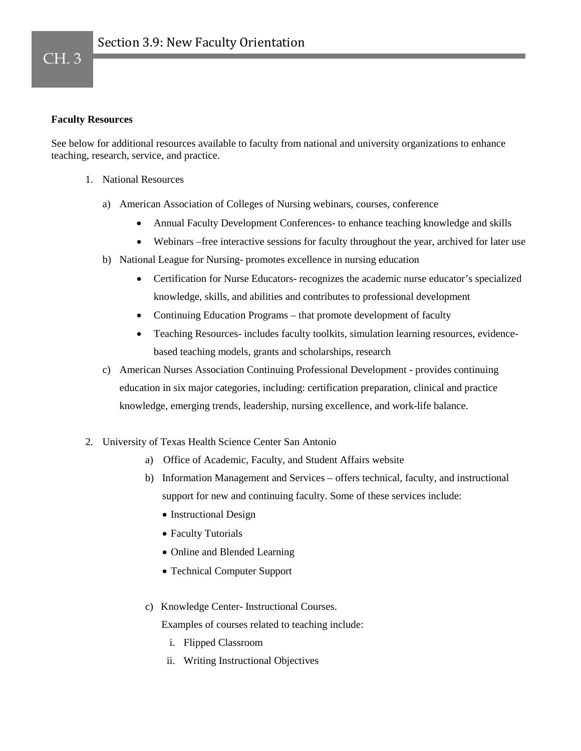

## **Faculty Resources**

See below for additional resources available to faculty from national and university organizations to enhance teaching, research, service, and practice.

- 1. National Resources
	- a) [American Association of Colleges of Nursing](http://www.aacn.nche.edu/) webinars, courses, conference
		- [Annual Faculty Development Conferences-](https://www.aacn.nche.edu/events/info-page?sessionaltcd=1308) to enhance teaching knowledge and skills
		- [Webinars](http://www.aacn.nche.edu/webinars/topics) –free interactive sessions for faculty throughout the year, archived for later use
	- b) [National League for Nursing-](http://www.nln.org/professional-development-programs/teaching-resources) promotes excellence in nursing education
		- [Certification for Nurse Educators-](http://www.nln.org/professional-development-programs/Certification-for-Nurse-Educators) recognizes the academic nurse educator's specialized knowledge, skills, and abilities and contributes to professional development
		- Continuing Education Programs that promote development of faculty
		- [Teaching Resources-](http://www.nln.org/professional-development-programs/teaching-resources) includes faculty toolkits, simulation learning resources, evidencebased teaching models, grants and scholarships, research
	- c) [American Nurses Association Continuing Professional Development](http://www.nursingworld.org/MainMenuCategories/CertificationandAccreditation/Continuing-Professional-Development) provides continuing education in six major categories, including: certification preparation, clinical and practice knowledge, emerging trends, leadership, nursing excellence, and work-life balance.
- 2. University of Texas Health Science Center San Antonio
	- a) [Office of Academic, Faculty, and Student Affairs](http://uthscsa.edu/vpaa/faculty.asp) website
	- b) [Information Management and Services –](http://ims.uthscsa.edu/student_support/index.aspx) offers technical, faculty, and instructional support for new and continuing faculty. Some of these services include:
		- Instructional Design
		- Faculty Tutorials
		- Online and Blended Learning
		- Technical Computer Support
	- c) [Knowledge Center-](http://ims.uthscsa.edu/technology_support/knowledge_center.aspx) Instructional Courses.

Examples of courses related to teaching include:

- i. Flipped Classroom
- ii. Writing Instructional Objectives